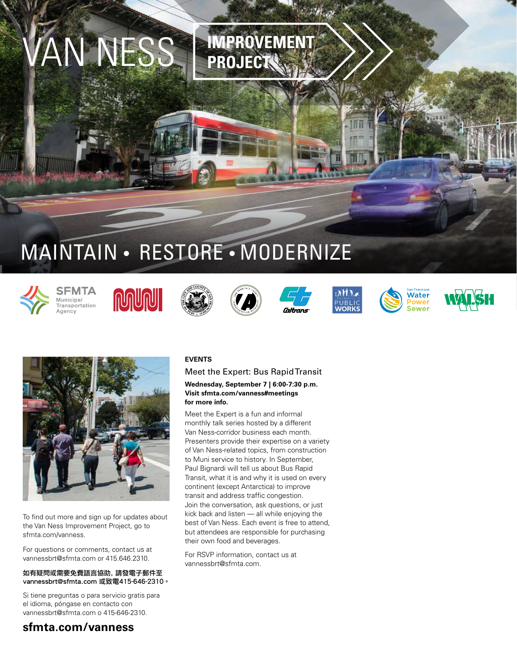## MAINTAIN • RESTORE • MODERNIZE

VAN NESS **IMPROVEMENT**

**PROJECT**



SFMTA Municipal municipai<br>Transportation Agency

















To find out more and sign up for updates about the Van Ness Improvement Project, go to sfmta.com/vanness.

For questions or comments, contact us at vannessbrt@sfmta.com or 415.646.2310.

#### 如有疑問或需要免費語言協助, 請發電子郵件至 vannessbrt@sfmta.com 或致電415-646-2310。

Si tiene preguntas o para servicio gratis para el idioma, póngase en contacto con vannessbrt@sfmta.com o 415-646-2310.

## **sfmta.com/vanness**

### **EVENTS**

Meet the Expert: Bus Rapid Transit **Wednesday, September 7 | 6:00-7:30 p.m. Visit sfmta.com/vanness#meetings for more info.**

Meet the Expert is a fun and informal monthly talk series hosted by a different Van Ness-corridor business each month. Presenters provide their expertise on a variety of Van Ness-related topics, from construction to Muni service to history. In September, Paul Bignardi will tell us about Bus Rapid Transit, what it is and why it is used on every continent (except Antarctica) to improve transit and address traffic congestion. Join the conversation, ask questions, or just kick back and listen — all while enjoying the best of Van Ness. Each event is free to attend, but attendees are responsible for purchasing their own food and beverages.

For RSVP information, contact us at vannessbrt@sfmta.com.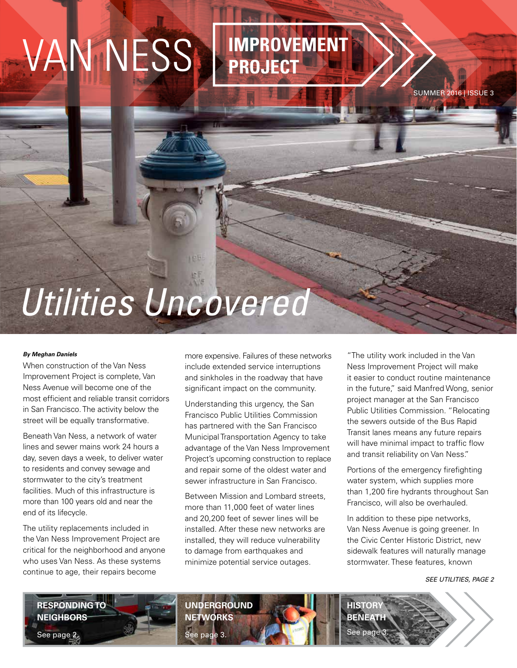# VAN NESS **IMPROVEMENT**

## **PROJECT**

SUMMER 2016 | ISSUE 3

## *Utilities Uncovered*

#### *By Meghan Daniels*

When construction of the Van Ness Improvement Project is complete, Van Ness Avenue will become one of the most efficient and reliable transit corridors in San Francisco. The activity below the street will be equally transformative.

Beneath Van Ness, a network of water lines and sewer mains work 24 hours a day, seven days a week, to deliver water to residents and convey sewage and stormwater to the city's treatment facilities. Much of this infrastructure is more than 100 years old and near the end of its lifecycle.

The utility replacements included in the Van Ness Improvement Project are critical for the neighborhood and anyone who uses Van Ness. As these systems continue to age, their repairs become

more expensive. Failures of these networks include extended service interruptions and sinkholes in the roadway that have significant impact on the community.

Understanding this urgency, the San Francisco Public Utilities Commission has partnered with the San Francisco Municipal Transportation Agency to take advantage of the Van Ness Improvement Project's upcoming construction to replace and repair some of the oldest water and sewer infrastructure in San Francisco.

Between Mission and Lombard streets, more than 11,000 feet of water lines and 20,200 feet of sewer lines will be installed. After these new networks are installed, they will reduce vulnerability to damage from earthquakes and minimize potential service outages.

**UNDERGROUND NETWORKS**

See page 3.

"The utility work included in the Van Ness Improvement Project will make it easier to conduct routine maintenance in the future," said Manfred Wong, senior project manager at the San Francisco Public Utilities Commission. "Relocating the sewers outside of the Bus Rapid Transit lanes means any future repairs will have minimal impact to traffic flow and transit reliability on Van Ness."

Portions of the emergency firefighting water system, which supplies more than 1,200 fire hydrants throughout San Francisco, will also be overhauled.

In addition to these pipe networks, Van Ness Avenue is going greener. In the Civic Center Historic District, new sidewalk features will naturally manage stormwater. These features, known

**HISTOR BENEATH** See page

*SEE UTILITIES, PAGE 2*

**RESPONDING TO NEIGHBORS** See page 2.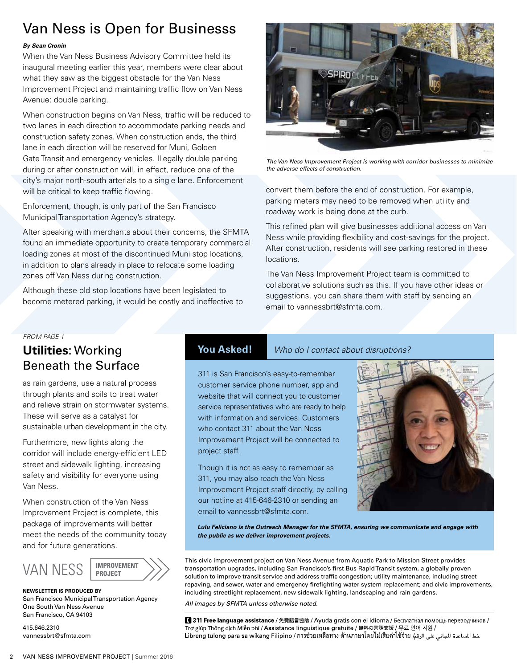## Van Ness is Open for Businesss

#### *By Sean Cronin*

When the Van Ness Business Advisory Committee held its inaugural meeting earlier this year, members were clear about what they saw as the biggest obstacle for the Van Ness Improvement Project and maintaining traffic flow on Van Ness Avenue: double parking.

When construction begins on Van Ness, traffic will be reduced to two lanes in each direction to accommodate parking needs and construction safety zones. When construction ends, the third lane in each direction will be reserved for Muni, Golden Gate Transit and emergency vehicles. Illegally double parking during or after construction will, in effect, reduce one of the city's major north-south arterials to a single lane. Enforcement will be critical to keep traffic flowing.

Enforcement, though, is only part of the San Francisco Municipal Transportation Agency's strategy.

After speaking with merchants about their concerns, the SFMTA found an immediate opportunity to create temporary commercial loading zones at most of the discontinued Muni stop locations, in addition to plans already in place to relocate some loading zones off Van Ness during construction.

Although these old stop locations have been legislated to become metered parking, it would be costly and ineffective to

### *FROM PAGE 1*

## **Utilities**: Working Beneath the Surface

as rain gardens, use a natural process through plants and soils to treat water and relieve strain on stormwater systems. These will serve as a catalyst for sustainable urban development in the city.

Furthermore, new lights along the corridor will include energy-efficient LED street and sidewalk lighting, increasing safety and visibility for everyone using Van Ness.

When construction of the Van Ness Improvement Project is complete, this package of improvements will better meet the needs of the community today and for future generations.



**NEWSLETTER IS PRODUCED BY** San Francisco Municipal Transportation Agency One South Van Ness Avenue San Francisco, CA 94103

415.646.2310 vannessbrt@sfmta.com



*The Van Ness Improvement Project is working with corridor businesses to minimize the adverse effects of construction.*

convert them before the end of construction. For example, parking meters may need to be removed when utility and roadway work is being done at the curb.

This refined plan will give businesses additional access on Van Ness while providing flexibility and cost-savings for the project. After construction, residents will see parking restored in these locations.

The Van Ness Improvement Project team is committed to collaborative solutions such as this. If you have other ideas or suggestions, you can share them with staff by sending an email to vannessbrt@sfmta.com.

### **You Asked!** *Who do I contact about disruptions?*

311 is San Francisco's easy-to-remember customer service phone number, app and website that will connect you to customer service representatives who are ready to help with information and services. Customers who contact 311 about the Van Ness Improvement Project will be connected to project staff.

Though it is not as easy to remember as 311, you may also reach the Van Ness Improvement Project staff directly, by calling our hotline at 415-646-2310 or sending an email to vannessbrt@sfmta.com.



*Lulu Feliciano is the Outreach Manager for the SFMTA, ensuring we communicate and engage with the public as we deliver improvement projects.*

This civic improvement project on Van Ness Avenue from Aquatic Park to Mission Street provides transportation upgrades, including San Francisco's first Bus Rapid Transit system, a globally proven solution to improve transit service and address traffic congestion; utility maintenance, including street repaving, and sewer, water and emergency firefighting water system replacement; and civic improvements, including streetlight replacement, new sidewalk lighting, landscaping and rain gardens.

*All images by SFMTA unless otherwise noted.*

■ 311 Free language assistance / 免費語言協助 / Ayuda gratis con el idioma / Бесплатная помощь переводчиков / Trợ giúp Thông dịch Miễn phí / Assistance linguistique gratuite / 無料の言語支援 / 무료 언어 지원 / خط الساعدة الجانى على الرقم/ Libreng tulong para sa wikang Filipino / การช่วยเหลือทาง ด้านภาษาโดยไม่เสียค่าใช้จ่าย